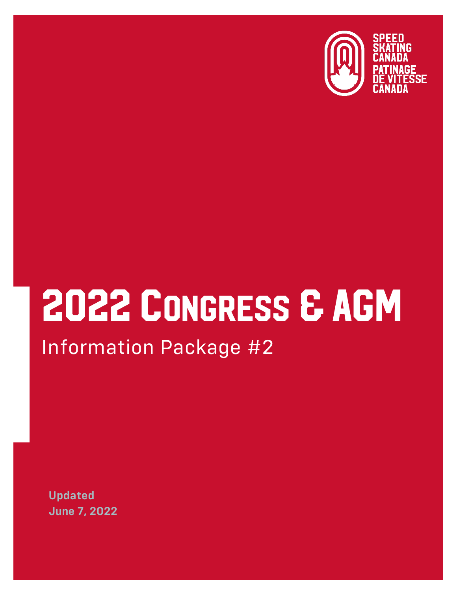

# 2022 CONGRESS & AGM Information Package #2

**Updated June 7, 2022**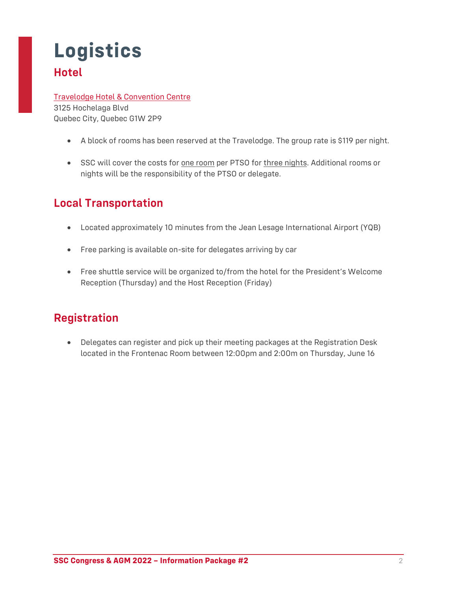# **Logistics Hotel**

#### [Travelodge Hotel & Convention Centre](https://www.wyndhamhotels.com/en-ca/travelodge/quebec-city-quebec/travelodge-by-wyndham-hotel-and-convention-centre-quebec-city/overview) 3125 Hochelaga Blvd

Quebec City, Quebec G1W 2P9

- A block of rooms has been reserved at the Travelodge. The group rate is \$119 per night.
- SSC will cover the costs for <u>one room</u> per PTSO for three nights. Additional rooms or nights will be the responsibility of the PTSO or delegate.

## **Local Transportation**

- Located approximately 10 minutes from the Jean Lesage International Airport (YQB)
- Free parking is available on-site for delegates arriving by car
- Free shuttle service will be organized to/from the hotel for the President's Welcome Reception (Thursday) and the Host Reception (Friday)

### **Registration**

• Delegates can register and pick up their meeting packages at the Registration Desk located in the Frontenac Room between 12:00pm and 2:00m on Thursday, June 16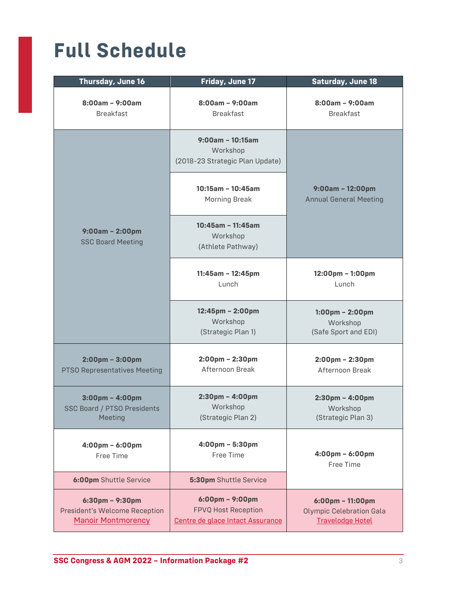# **Full Schedule**

| Thursday, June 16                                                                               | Friday, June 17                                                                                     | <b>Saturday, June 18</b>                                                                         |
|-------------------------------------------------------------------------------------------------|-----------------------------------------------------------------------------------------------------|--------------------------------------------------------------------------------------------------|
| $8:00am - 9:00am$<br><b>Breakfast</b>                                                           | $8:00am - 9:00am$<br><b>Breakfast</b>                                                               | $8:00am - 9:00am$<br><b>Breakfast</b>                                                            |
|                                                                                                 | $9:00$ am - 10:15am<br>Workshop<br>(2018-23 Strategic Plan Update)                                  |                                                                                                  |
| $9:00am - 2:00pm$<br><b>SSC Board Meeting</b>                                                   | $10:15am - 10:45am$<br><b>Morning Break</b>                                                         | $9:00am - 12:00pm$<br><b>Annual General Meeting</b>                                              |
|                                                                                                 | 10:45am - 11:45am<br>Workshop<br>(Athlete Pathway)                                                  |                                                                                                  |
|                                                                                                 | $11:45am - 12:45pm$<br>Lunch                                                                        | $12:00 \text{pm} - 1:00 \text{pm}$<br>Lunch                                                      |
|                                                                                                 | 12:45pm - 2:00pm<br>Workshop<br>(Strategic Plan 1)                                                  | $1:00 \text{pm} - 2:00 \text{pm}$<br>Workshop<br>(Safe Sport and EDI)                            |
| $2:00$ pm - $3:00$ pm<br><b>PTSO Representatives Meeting</b>                                    | $2:00$ pm - $2:30$ pm<br>Afternoon Break                                                            | $2:00$ pm - $2:30$ pm<br>Afternoon Break                                                         |
| $3:00 \text{pm} - 4:00 \text{pm}$<br><b>SSC Board / PTSO Presidents</b><br>Meeting              | $2:30 \text{pm} - 4:00 \text{pm}$<br>Workshop<br>(Strategic Plan 2)                                 | $2:30 \text{pm} - 4:00 \text{pm}$<br>Workshop<br>(Strategic Plan 3)                              |
| 4:00pm - 6:00pm<br>Free Time                                                                    | $4:00 \text{pm} - 5:30 \text{pm}$<br>Free Time                                                      | 4:00pm - 6:00pm<br>Free Time                                                                     |
| <b>6:00pm</b> Shuttle Service                                                                   | 5:30pm Shuttle Service                                                                              |                                                                                                  |
| $6:30 \text{pm} - 9:30 \text{pm}$<br>President's Welcome Reception<br><b>Manoir Montmorency</b> | $6:00 \text{pm} - 9:00 \text{pm}$<br><b>FPVQ Host Reception</b><br>Centre de glace Intact Assurance | $6:00 \text{pm} - 11:00 \text{pm}$<br><b>Olympic Celebration Gala</b><br><b>Travelodge Hotel</b> |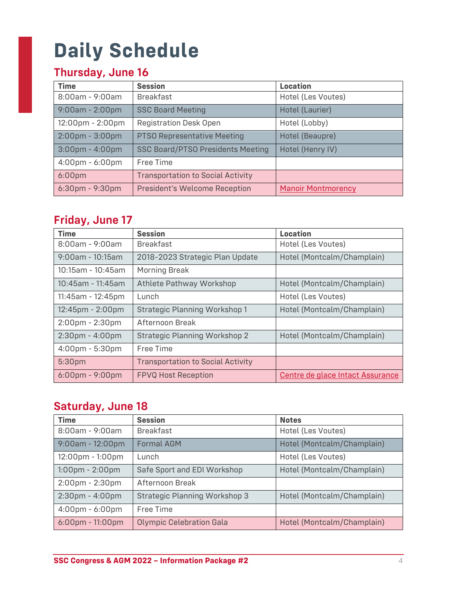# **Daily Schedule**

# **Thursday, June 16**

| <b>Time</b>                        | <b>Session</b>                           | Location                  |
|------------------------------------|------------------------------------------|---------------------------|
| $8:00$ am - 9:00am                 | <b>Breakfast</b>                         | Hotel (Les Voutes)        |
| $9:00am - 2:00pm$                  | <b>SSC Board Meeting</b>                 | Hotel (Laurier)           |
| $12:00 \text{pm} - 2:00 \text{pm}$ | <b>Registration Desk Open</b>            | Hotel (Lobby)             |
| $2:00 \text{pm} - 3:00 \text{pm}$  | <b>PTSO Representative Meeting</b>       | Hotel (Beaupre)           |
| $3:00$ pm - 4:00pm                 | <b>SSC Board/PTSO Presidents Meeting</b> | Hotel (Henry IV)          |
| 4:00pm - 6:00pm                    | Free Time                                |                           |
| 6:00 <sub>pm</sub>                 | <b>Transportation to Social Activity</b> |                           |
| 6:30pm - 9:30pm                    | <b>President's Welcome Reception</b>     | <b>Manoir Montmorency</b> |

### **Friday, June 17**

| <b>Time</b>                       | <b>Session</b>                           | <b>Location</b>                  |
|-----------------------------------|------------------------------------------|----------------------------------|
| $8:00$ am - 9:00am                | <b>Breakfast</b>                         | Hotel (Les Voutes)               |
| $9:00$ am - 10:15am               | 2018-2023 Strategic Plan Update          | Hotel (Montcalm/Champlain)       |
| 10:15am - 10:45am                 | <b>Morning Break</b>                     |                                  |
| 10:45am - 11:45am                 | Athlete Pathway Workshop                 | Hotel (Montcalm/Champlain)       |
| 11:45am - 12:45pm                 | Lunch                                    | Hotel (Les Voutes)               |
| 12:45pm - 2:00pm                  | <b>Strategic Planning Workshop 1</b>     | Hotel (Montcalm/Champlain)       |
| $2:00$ pm - $2:30$ pm             | Afternoon Break                          |                                  |
| 2:30pm - 4:00pm                   | <b>Strategic Planning Workshop 2</b>     | Hotel (Montcalm/Champlain)       |
| $4:00 \text{pm} - 5:30 \text{pm}$ | Free Time                                |                                  |
| 5:30pm                            | <b>Transportation to Social Activity</b> |                                  |
| $6:00 \text{pm} - 9:00 \text{pm}$ | <b>FPVQ Host Reception</b>               | Centre de glace Intact Assurance |

### **Saturday, June 18**

| <b>Time</b>                        | <b>Session</b>                       | <b>Notes</b>               |
|------------------------------------|--------------------------------------|----------------------------|
| $8:00$ am - 9:00am                 | <b>Breakfast</b>                     | Hotel (Les Voutes)         |
| $9:00$ am - 12:00pm                | <b>Formal AGM</b>                    | Hotel (Montcalm/Champlain) |
| 12:00pm - 1:00pm                   | Lunch                                | Hotel (Les Voutes)         |
| $1:00$ pm - $2:00$ pm              | Safe Sport and EDI Workshop          | Hotel (Montcalm/Champlain) |
| $2:00$ pm - $2:30$ pm              | Afternoon Break                      |                            |
| $2:30$ pm - $4:00$ pm              | <b>Strategic Planning Workshop 3</b> | Hotel (Montcalm/Champlain) |
| $4:00 \text{pm} - 6:00 \text{pm}$  | Free Time                            |                            |
| $6:00 \text{pm} - 11:00 \text{pm}$ | <b>Olympic Celebration Gala</b>      | Hotel (Montcalm/Champlain) |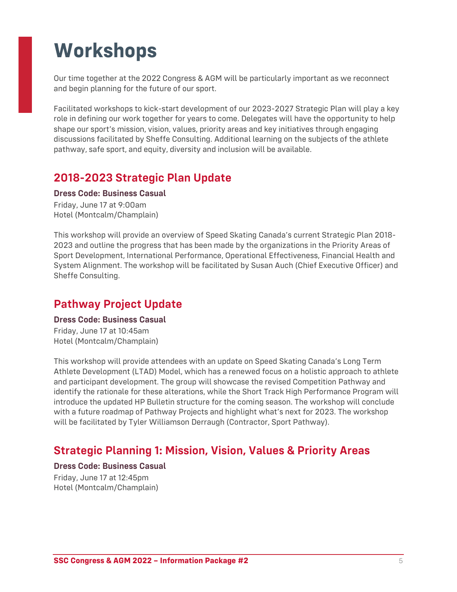# **Workshops**

Our time together at the 2022 Congress & AGM will be particularly important as we reconnect and begin planning for the future of our sport.

Facilitated workshops to kick-start development of our 2023-2027 Strategic Plan will play a key role in defining our work together for years to come. Delegates will have the opportunity to help shape our sport's mission, vision, values, priority areas and key initiatives through engaging discussions facilitated by Sheffe Consulting. Additional learning on the subjects of the athlete pathway, safe sport, and equity, diversity and inclusion will be available.

#### **2018-2023 Strategic Plan Update**

#### **Dress Code: Business Casual**

Friday, June 17 at 9:00am Hotel (Montcalm/Champlain)

This workshop will provide an overview of Speed Skating Canada's current Strategic Plan 2018- 2023 and outline the progress that has been made by the organizations in the Priority Areas of Sport Development, International Performance, Operational Effectiveness, Financial Health and System Alignment. The workshop will be facilitated by Susan Auch (Chief Executive Officer) and Sheffe Consulting.

#### **Pathway Project Update**

#### **Dress Code: Business Casual** Friday, June 17 at 10:45am

Hotel (Montcalm/Champlain)

This workshop will provide attendees with an update on Speed Skating Canada's Long Term Athlete Development (LTAD) Model, which has a renewed focus on a holistic approach to athlete and participant development. The group will showcase the revised Competition Pathway and identify the rationale for these alterations, while the Short Track High Performance Program will introduce the updated HP Bulletin structure for the coming season. The workshop will conclude with a future roadmap of Pathway Projects and highlight what's next for 2023. The workshop will be facilitated by Tyler Williamson Derraugh (Contractor, Sport Pathway).

#### **Strategic Planning 1: Mission, Vision, Values & Priority Areas**

#### **Dress Code: Business Casual** Friday, June 17 at 12:45pm Hotel (Montcalm/Champlain)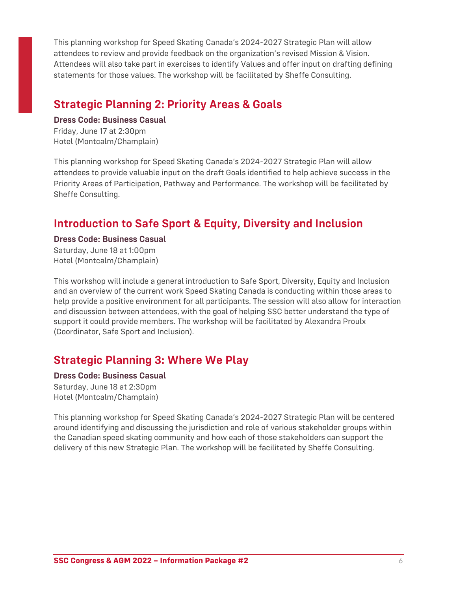This planning workshop for Speed Skating Canada's 2024-2027 Strategic Plan will allow attendees to review and provide feedback on the organization's revised Mission & Vision. Attendees will also take part in exercises to identify Values and offer input on drafting defining statements for those values. The workshop will be facilitated by Sheffe Consulting.

### **Strategic Planning 2: Priority Areas & Goals**

**Dress Code: Business Casual** Friday, June 17 at 2:30pm Hotel (Montcalm/Champlain)

This planning workshop for Speed Skating Canada's 2024-2027 Strategic Plan will allow attendees to provide valuable input on the draft Goals identified to help achieve success in the Priority Areas of Participation, Pathway and Performance. The workshop will be facilitated by Sheffe Consulting.

#### **Introduction to Safe Sport & Equity, Diversity and Inclusion**

#### **Dress Code: Business Casual**

Saturday, June 18 at 1:00pm Hotel (Montcalm/Champlain)

This workshop will include a general introduction to Safe Sport, Diversity, Equity and Inclusion and an overview of the current work Speed Skating Canada is conducting within those areas to help provide a positive environment for all participants. The session will also allow for interaction and discussion between attendees, with the goal of helping SSC better understand the type of support it could provide members. The workshop will be facilitated by Alexandra Proulx (Coordinator, Safe Sport and Inclusion).

#### **Strategic Planning 3: Where We Play**

#### **Dress Code: Business Casual**

Saturday, June 18 at 2:30pm Hotel (Montcalm/Champlain)

This planning workshop for Speed Skating Canada's 2024-2027 Strategic Plan will be centered around identifying and discussing the jurisdiction and role of various stakeholder groups within the Canadian speed skating community and how each of those stakeholders can support the delivery of this new Strategic Plan. The workshop will be facilitated by Sheffe Consulting.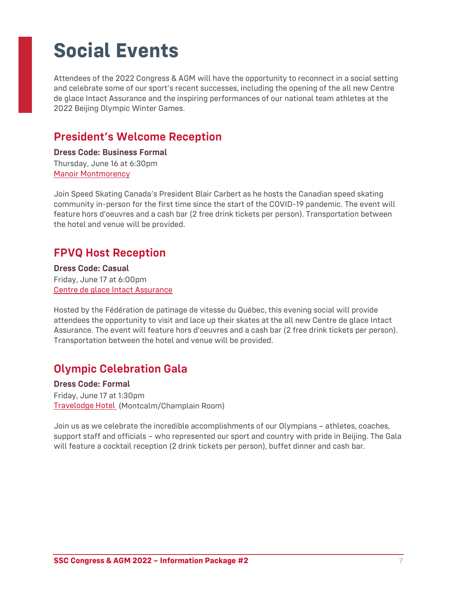# **Social Events**

Attendees of the 2022 Congress & AGM will have the opportunity to reconnect in a social setting and celebrate some of our sport's recent successes, including the opening of the all new Centre de glace Intact Assurance and the inspiring performances of our national team athletes at the 2022 Beijing Olympic Winter Games.

#### **President's Welcome Reception**

**Dress Code: Business Formal** Thursday, June 16 at 6:30pm [Manoir Montmorency](https://www.sepaq.com/destinations/parc-chute-montmorency/groupes/)

Join Speed Skating Canada's President Blair Carbert as he hosts the Canadian speed skating community in-person for the first time since the start of the COVID-19 pandemic. The event will feature hors d'oeuvres and a cash bar (2 free drink tickets per person). Transportation between the hotel and venue will be provided.

#### **FPVQ Host Reception**

**Dress Code: Casual** Friday, June 17 at 6:00pm [Centre de glace Intact Assurance](https://www.centredeglaces.ca/)

Hosted by the Fédération de patinage de vitesse du Québec, this evening social will provide attendees the opportunity to visit and lace up their skates at the all new Centre de glace Intact Assurance. The event will feature hors d'oeuvres and a cash bar (2 free drink tickets per person). Transportation between the hotel and venue will be provided.

#### **Olympic Celebration Gala**

**Dress Code: Formal** Friday, June 17 at 1:30pm [Travelodge Hotel](https://www.wyndhamhotels.com/en-ca/travelodge/quebec-city-quebec/travelodge-by-wyndham-hotel-and-convention-centre-quebec-city/overview) (Montcalm/Champlain Room)

Join us as we celebrate the incredible accomplishments of our Olympians – athletes, coaches, support staff and officials – who represented our sport and country with pride in Beijing. The Gala will feature a cocktail reception (2 drink tickets per person), buffet dinner and cash bar.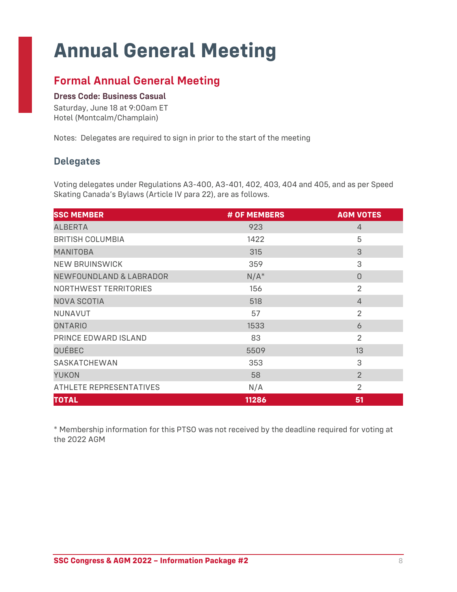# **Annual General Meeting**

### **Formal Annual General Meeting**

#### **Dress Code: Business Casual**

Saturday, June 18 at 9:00am ET Hotel (Montcalm/Champlain)

Notes: Delegates are required to sign in prior to the start of the meeting

#### **Delegates**

Voting delegates under Regulations A3-400, A3-401, 402, 403, 404 and 405, and as per Speed Skating Canada's Bylaws (Article IV para 22), are as follows.

| <b>SSC MEMBER</b>                  | # OF MEMBERS | <b>AGM VOTES</b> |
|------------------------------------|--------------|------------------|
| <b>ALBERTA</b>                     | 923          | $\overline{4}$   |
| <b>BRITISH COLUMBIA</b>            | 1422         | 5                |
| <b>MANITOBA</b>                    | 315          | 3                |
| <b>NEW BRUINSWICK</b>              | 359          | 3                |
| <b>NEWFOUNDLAND &amp; LABRADOR</b> | $N/A^*$      | $\Omega$         |
| <b>NORTHWEST TERRITORIES</b>       | 156          | $\overline{2}$   |
| NOVA SCOTIA                        | 518          | $\overline{4}$   |
| <b>NUNAVUT</b>                     | 57           | $\overline{2}$   |
| <b>ONTARIO</b>                     | 1533         | 6                |
| PRINCE EDWARD ISLAND               | 83           | $\overline{2}$   |
| QUÉBEC                             | 5509         | 13               |
| SASKATCHEWAN                       | 353          | 3                |
| <b>YUKON</b>                       | 58           | $\overline{2}$   |
| ATHLETE REPRESENTATIVES            | N/A          | 2                |
| <b>TOTAL</b>                       | 11286        | 51               |

\* Membership information for this PTSO was not received by the deadline required for voting at the 2022 AGM